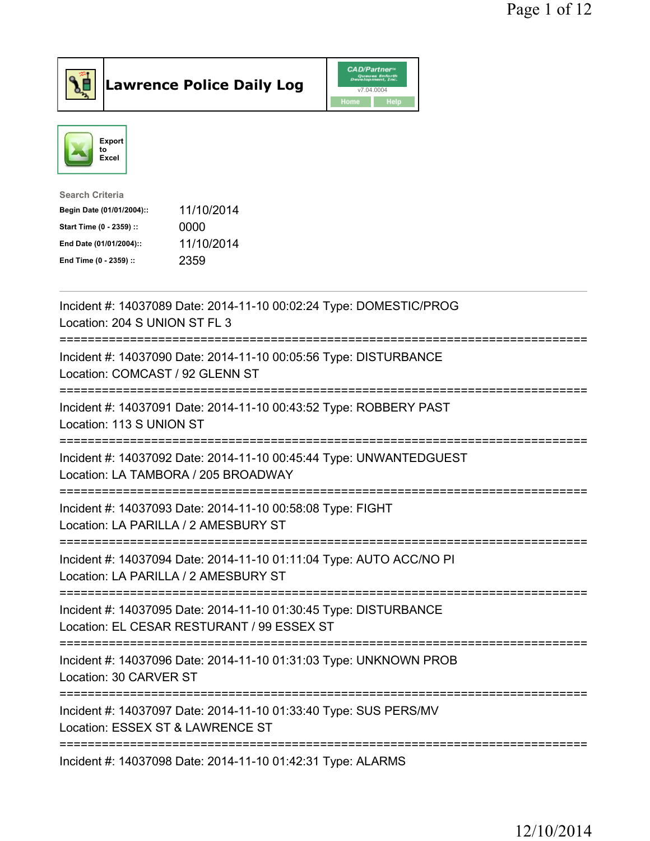



| 11/10/2014 |
|------------|
| 0000       |
| 11/10/2014 |
| 2359       |
|            |

| Incident #: 14037089 Date: 2014-11-10 00:02:24 Type: DOMESTIC/PROG<br>Location: 204 S UNION ST FL 3                                                                                   |
|---------------------------------------------------------------------------------------------------------------------------------------------------------------------------------------|
| Incident #: 14037090 Date: 2014-11-10 00:05:56 Type: DISTURBANCE<br>Location: COMCAST / 92 GLENN ST                                                                                   |
| Incident #: 14037091 Date: 2014-11-10 00:43:52 Type: ROBBERY PAST<br>Location: 113 S UNION ST<br>----------------------------                                                         |
| Incident #: 14037092 Date: 2014-11-10 00:45:44 Type: UNWANTEDGUEST<br>Location: LA TAMBORA / 205 BROADWAY                                                                             |
| Incident #: 14037093 Date: 2014-11-10 00:58:08 Type: FIGHT<br>Location: LA PARILLA / 2 AMESBURY ST<br>---------------------------                                                     |
| Incident #: 14037094 Date: 2014-11-10 01:11:04 Type: AUTO ACC/NO PI<br>Location: LA PARILLA / 2 AMESBURY ST                                                                           |
| =============================<br>----------------------------------<br>Incident #: 14037095 Date: 2014-11-10 01:30:45 Type: DISTURBANCE<br>Location: EL CESAR RESTURANT / 99 ESSEX ST |
| ================================<br>Incident #: 14037096 Date: 2014-11-10 01:31:03 Type: UNKNOWN PROB<br>Location: 30 CARVER ST                                                       |
| Incident #: 14037097 Date: 2014-11-10 01:33:40 Type: SUS PERS/MV<br>Location: ESSEX ST & LAWRENCE ST                                                                                  |
| Incident #: 14037098 Date: 2014-11-10 01:42:31 Type: ALARMS                                                                                                                           |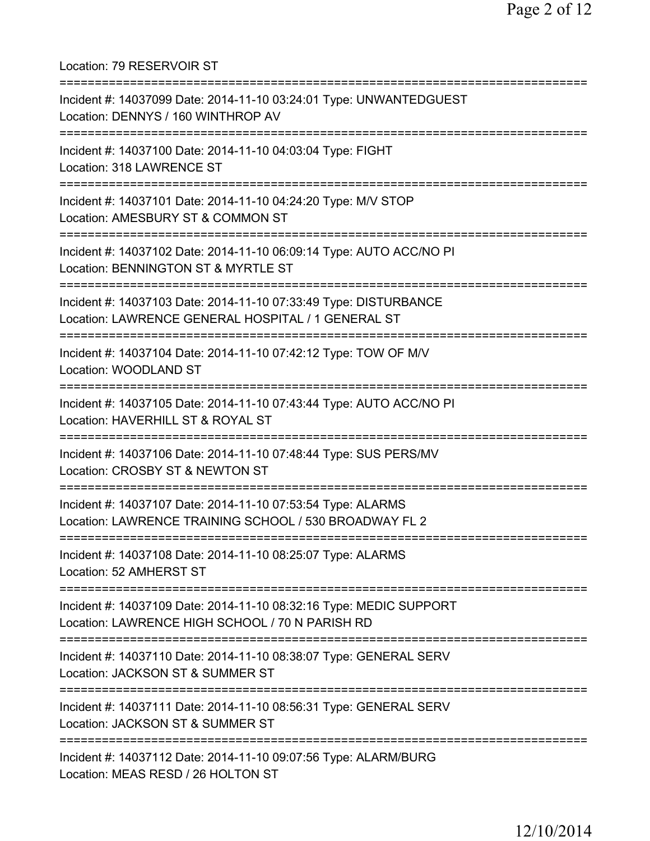Location: 79 RESERVOIR ST =========================================================================== Incident #: 14037099 Date: 2014-11-10 03:24:01 Type: UNWANTEDGUEST Location: DENNYS / 160 WINTHROP AV =========================================================================== Incident #: 14037100 Date: 2014-11-10 04:03:04 Type: FIGHT Location: 318 LAWRENCE ST =========================================================================== Incident #: 14037101 Date: 2014-11-10 04:24:20 Type: M/V STOP Location: AMESBURY ST & COMMON ST =========================================================================== Incident #: 14037102 Date: 2014-11-10 06:09:14 Type: AUTO ACC/NO PI Location: BENNINGTON ST & MYRTLE ST =========================================================================== Incident #: 14037103 Date: 2014-11-10 07:33:49 Type: DISTURBANCE Location: LAWRENCE GENERAL HOSPITAL / 1 GENERAL ST =========================================================================== Incident #: 14037104 Date: 2014-11-10 07:42:12 Type: TOW OF M/V Location: WOODLAND ST =========================================================================== Incident #: 14037105 Date: 2014-11-10 07:43:44 Type: AUTO ACC/NO PI Location: HAVERHILL ST & ROYAL ST =========================================================================== Incident #: 14037106 Date: 2014-11-10 07:48:44 Type: SUS PERS/MV Location: CROSBY ST & NEWTON ST =========================================================================== Incident #: 14037107 Date: 2014-11-10 07:53:54 Type: ALARMS Location: LAWRENCE TRAINING SCHOOL / 530 BROADWAY FL 2 =========================================================================== Incident #: 14037108 Date: 2014-11-10 08:25:07 Type: ALARMS Location: 52 AMHERST ST =========================================================================== Incident #: 14037109 Date: 2014-11-10 08:32:16 Type: MEDIC SUPPORT Location: LAWRENCE HIGH SCHOOL / 70 N PARISH RD =========================================================================== Incident #: 14037110 Date: 2014-11-10 08:38:07 Type: GENERAL SERV Location: JACKSON ST & SUMMER ST =========================================================================== Incident #: 14037111 Date: 2014-11-10 08:56:31 Type: GENERAL SERV Location: JACKSON ST & SUMMER ST =========================================================================== Incident #: 14037112 Date: 2014-11-10 09:07:56 Type: ALARM/BURG Location: MEAS RESD / 26 HOLTON ST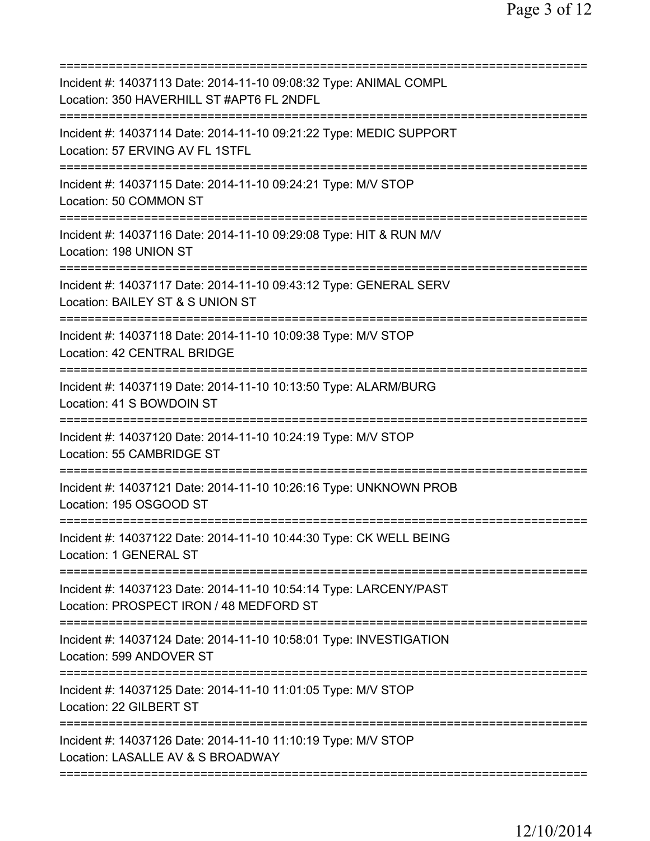| Incident #: 14037113 Date: 2014-11-10 09:08:32 Type: ANIMAL COMPL<br>Location: 350 HAVERHILL ST #APT6 FL 2NDFL                       |
|--------------------------------------------------------------------------------------------------------------------------------------|
| Incident #: 14037114 Date: 2014-11-10 09:21:22 Type: MEDIC SUPPORT<br>Location: 57 ERVING AV FL 1STFL                                |
| Incident #: 14037115 Date: 2014-11-10 09:24:21 Type: M/V STOP<br>Location: 50 COMMON ST                                              |
| Incident #: 14037116 Date: 2014-11-10 09:29:08 Type: HIT & RUN M/V<br>Location: 198 UNION ST<br>==================================== |
| Incident #: 14037117 Date: 2014-11-10 09:43:12 Type: GENERAL SERV<br>Location: BAILEY ST & S UNION ST                                |
| Incident #: 14037118 Date: 2014-11-10 10:09:38 Type: M/V STOP<br>Location: 42 CENTRAL BRIDGE<br>===============                      |
| Incident #: 14037119 Date: 2014-11-10 10:13:50 Type: ALARM/BURG<br>Location: 41 S BOWDOIN ST                                         |
| Incident #: 14037120 Date: 2014-11-10 10:24:19 Type: M/V STOP<br>Location: 55 CAMBRIDGE ST                                           |
| Incident #: 14037121 Date: 2014-11-10 10:26:16 Type: UNKNOWN PROB<br>Location: 195 OSGOOD ST                                         |
| Incident #: 14037122 Date: 2014-11-10 10:44:30 Type: CK WELL BEING<br>Location: 1 GENERAL ST                                         |
| Incident #: 14037123 Date: 2014-11-10 10:54:14 Type: LARCENY/PAST<br>Location: PROSPECT IRON / 48 MEDFORD ST                         |
| Incident #: 14037124 Date: 2014-11-10 10:58:01 Type: INVESTIGATION<br>Location: 599 ANDOVER ST                                       |
| Incident #: 14037125 Date: 2014-11-10 11:01:05 Type: M/V STOP<br>Location: 22 GILBERT ST                                             |
| Incident #: 14037126 Date: 2014-11-10 11:10:19 Type: M/V STOP<br>Location: LASALLE AV & S BROADWAY                                   |
|                                                                                                                                      |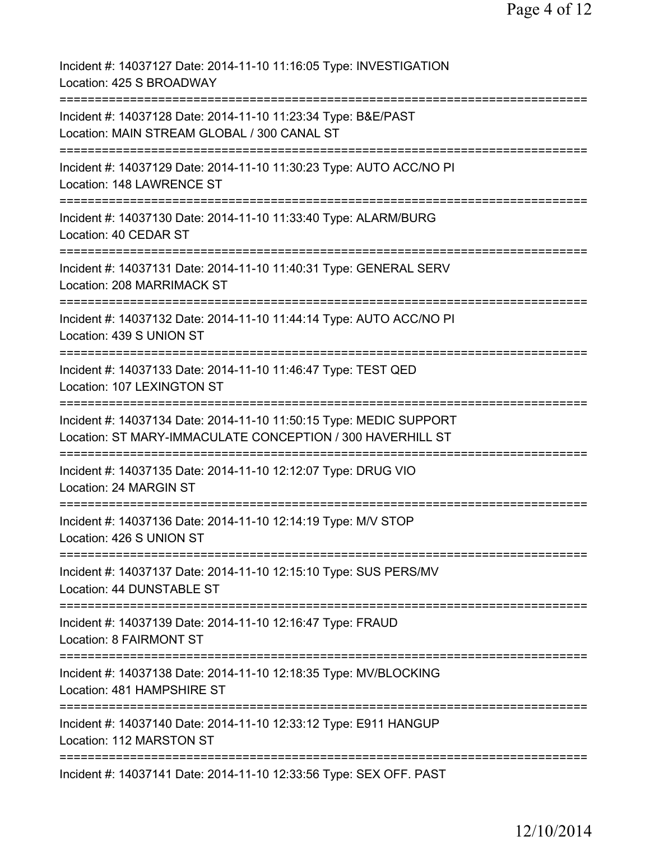| Incident #: 14037127 Date: 2014-11-10 11:16:05 Type: INVESTIGATION<br>Location: 425 S BROADWAY                                                |
|-----------------------------------------------------------------------------------------------------------------------------------------------|
| Incident #: 14037128 Date: 2014-11-10 11:23:34 Type: B&E/PAST<br>Location: MAIN STREAM GLOBAL / 300 CANAL ST<br>============================= |
| Incident #: 14037129 Date: 2014-11-10 11:30:23 Type: AUTO ACC/NO PI<br>Location: 148 LAWRENCE ST                                              |
| Incident #: 14037130 Date: 2014-11-10 11:33:40 Type: ALARM/BURG<br>Location: 40 CEDAR ST                                                      |
| Incident #: 14037131 Date: 2014-11-10 11:40:31 Type: GENERAL SERV<br>Location: 208 MARRIMACK ST                                               |
| Incident #: 14037132 Date: 2014-11-10 11:44:14 Type: AUTO ACC/NO PI<br>Location: 439 S UNION ST                                               |
| Incident #: 14037133 Date: 2014-11-10 11:46:47 Type: TEST QED<br>Location: 107 LEXINGTON ST                                                   |
| Incident #: 14037134 Date: 2014-11-10 11:50:15 Type: MEDIC SUPPORT<br>Location: ST MARY-IMMACULATE CONCEPTION / 300 HAVERHILL ST              |
| Incident #: 14037135 Date: 2014-11-10 12:12:07 Type: DRUG VIO<br>Location: 24 MARGIN ST                                                       |
| Incident #: 14037136 Date: 2014-11-10 12:14:19 Type: M/V STOP<br>Location: 426 S UNION ST                                                     |
| Incident #: 14037137 Date: 2014-11-10 12:15:10 Type: SUS PERS/MV<br>Location: 44 DUNSTABLE ST                                                 |
| Incident #: 14037139 Date: 2014-11-10 12:16:47 Type: FRAUD<br>Location: 8 FAIRMONT ST                                                         |
| Incident #: 14037138 Date: 2014-11-10 12:18:35 Type: MV/BLOCKING<br>Location: 481 HAMPSHIRE ST                                                |
| Incident #: 14037140 Date: 2014-11-10 12:33:12 Type: E911 HANGUP<br>Location: 112 MARSTON ST                                                  |
| Incident #: 14037141 Date: 2014-11-10 12:33:56 Type: SEX OFF. PAST                                                                            |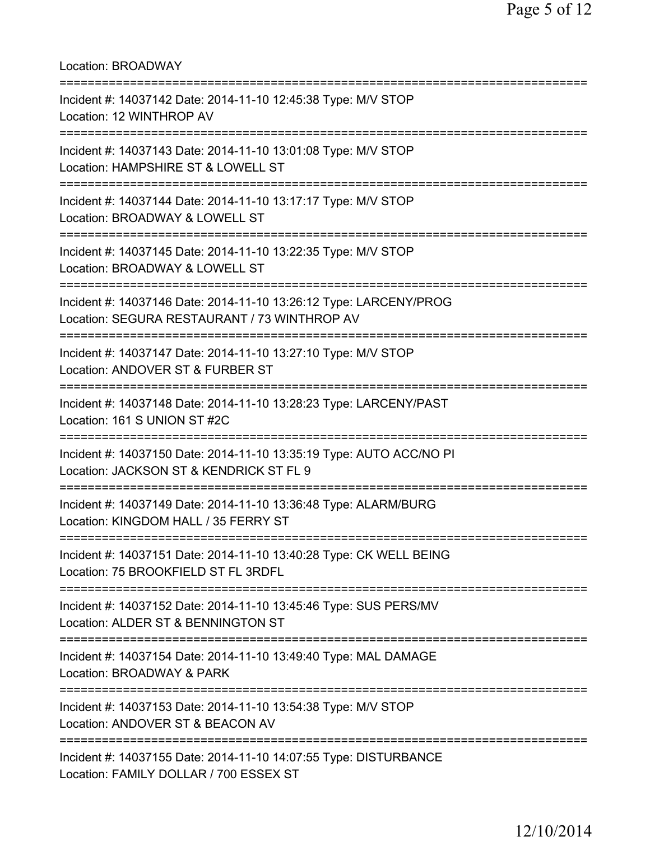Location: BROADWAY =========================================================================== Incident #: 14037142 Date: 2014-11-10 12:45:38 Type: M/V STOP Location: 12 WINTHROP AV =========================================================================== Incident #: 14037143 Date: 2014-11-10 13:01:08 Type: M/V STOP Location: HAMPSHIRE ST & LOWELL ST =========================================================================== Incident #: 14037144 Date: 2014-11-10 13:17:17 Type: M/V STOP Location: BROADWAY & LOWELL ST =========================================================================== Incident #: 14037145 Date: 2014-11-10 13:22:35 Type: M/V STOP Location: BROADWAY & LOWELL ST =========================================================================== Incident #: 14037146 Date: 2014-11-10 13:26:12 Type: LARCENY/PROG Location: SEGURA RESTAURANT / 73 WINTHROP AV =========================================================================== Incident #: 14037147 Date: 2014-11-10 13:27:10 Type: M/V STOP Location: ANDOVER ST & FURBER ST =========================================================================== Incident #: 14037148 Date: 2014-11-10 13:28:23 Type: LARCENY/PAST Location: 161 S UNION ST #2C =========================================================================== Incident #: 14037150 Date: 2014-11-10 13:35:19 Type: AUTO ACC/NO PI Location: JACKSON ST & KENDRICK ST FL 9 =========================================================================== Incident #: 14037149 Date: 2014-11-10 13:36:48 Type: ALARM/BURG Location: KINGDOM HALL / 35 FERRY ST =========================================================================== Incident #: 14037151 Date: 2014-11-10 13:40:28 Type: CK WELL BEING Location: 75 BROOKFIELD ST FL 3RDFL =========================================================================== Incident #: 14037152 Date: 2014-11-10 13:45:46 Type: SUS PERS/MV Location: ALDER ST & BENNINGTON ST =========================================================================== Incident #: 14037154 Date: 2014-11-10 13:49:40 Type: MAL DAMAGE Location: BROADWAY & PARK =========================================================================== Incident #: 14037153 Date: 2014-11-10 13:54:38 Type: M/V STOP Location: ANDOVER ST & BEACON AV =========================================================================== Incident #: 14037155 Date: 2014-11-10 14:07:55 Type: DISTURBANCE Location: FAMILY DOLLAR / 700 ESSEX ST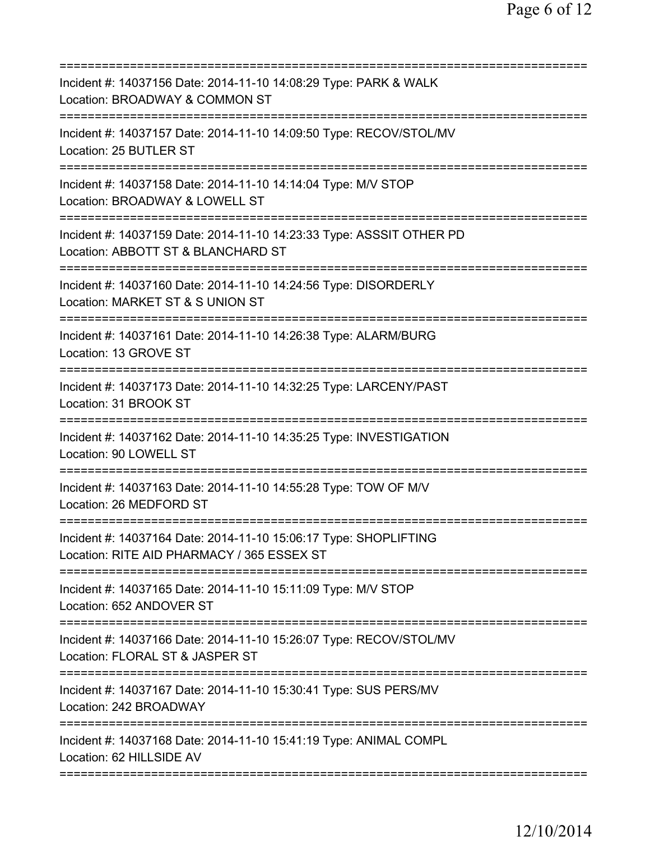| Incident #: 14037156 Date: 2014-11-10 14:08:29 Type: PARK & WALK<br>Location: BROADWAY & COMMON ST                 |
|--------------------------------------------------------------------------------------------------------------------|
| Incident #: 14037157 Date: 2014-11-10 14:09:50 Type: RECOV/STOL/MV<br>Location: 25 BUTLER ST                       |
| Incident #: 14037158 Date: 2014-11-10 14:14:04 Type: M/V STOP<br>Location: BROADWAY & LOWELL ST                    |
| Incident #: 14037159 Date: 2014-11-10 14:23:33 Type: ASSSIT OTHER PD<br>Location: ABBOTT ST & BLANCHARD ST         |
| Incident #: 14037160 Date: 2014-11-10 14:24:56 Type: DISORDERLY<br>Location: MARKET ST & S UNION ST                |
| Incident #: 14037161 Date: 2014-11-10 14:26:38 Type: ALARM/BURG<br>Location: 13 GROVE ST                           |
| Incident #: 14037173 Date: 2014-11-10 14:32:25 Type: LARCENY/PAST<br>Location: 31 BROOK ST<br>-------              |
| Incident #: 14037162 Date: 2014-11-10 14:35:25 Type: INVESTIGATION<br>Location: 90 LOWELL ST<br>================== |
| Incident #: 14037163 Date: 2014-11-10 14:55:28 Type: TOW OF M/V<br>Location: 26 MEDFORD ST                         |
| Incident #: 14037164 Date: 2014-11-10 15:06:17 Type: SHOPLIFTING<br>Location: RITE AID PHARMACY / 365 ESSEX ST     |
| Incident #: 14037165 Date: 2014-11-10 15:11:09 Type: M/V STOP<br>Location: 652 ANDOVER ST                          |
| Incident #: 14037166 Date: 2014-11-10 15:26:07 Type: RECOV/STOL/MV<br>Location: FLORAL ST & JASPER ST              |
| Incident #: 14037167 Date: 2014-11-10 15:30:41 Type: SUS PERS/MV<br>Location: 242 BROADWAY                         |
| Incident #: 14037168 Date: 2014-11-10 15:41:19 Type: ANIMAL COMPL<br>Location: 62 HILLSIDE AV                      |
|                                                                                                                    |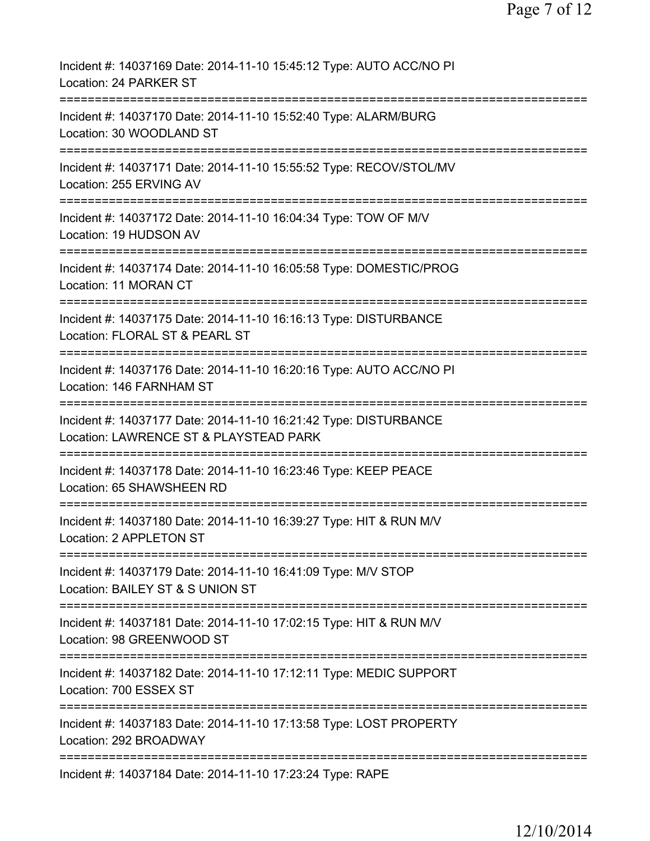| Incident #: 14037169 Date: 2014-11-10 15:45:12 Type: AUTO ACC/NO PI<br>Location: 24 PARKER ST                                    |
|----------------------------------------------------------------------------------------------------------------------------------|
| Incident #: 14037170 Date: 2014-11-10 15:52:40 Type: ALARM/BURG<br>Location: 30 WOODLAND ST                                      |
| Incident #: 14037171 Date: 2014-11-10 15:55:52 Type: RECOV/STOL/MV<br>Location: 255 ERVING AV                                    |
| Incident #: 14037172 Date: 2014-11-10 16:04:34 Type: TOW OF M/V<br>Location: 19 HUDSON AV                                        |
| Incident #: 14037174 Date: 2014-11-10 16:05:58 Type: DOMESTIC/PROG<br>Location: 11 MORAN CT                                      |
| =======================<br>Incident #: 14037175 Date: 2014-11-10 16:16:13 Type: DISTURBANCE<br>Location: FLORAL ST & PEARL ST    |
| Incident #: 14037176 Date: 2014-11-10 16:20:16 Type: AUTO ACC/NO PI<br>Location: 146 FARNHAM ST                                  |
| Incident #: 14037177 Date: 2014-11-10 16:21:42 Type: DISTURBANCE<br>Location: LAWRENCE ST & PLAYSTEAD PARK                       |
| Incident #: 14037178 Date: 2014-11-10 16:23:46 Type: KEEP PEACE<br>Location: 65 SHAWSHEEN RD                                     |
| Incident #: 14037180 Date: 2014-11-10 16:39:27 Type: HIT & RUN M/V<br>Location: 2 APPLETON ST                                    |
| ===========================<br>Incident #: 14037179 Date: 2014-11-10 16:41:09 Type: M/V STOP<br>Location: BAILEY ST & S UNION ST |
| Incident #: 14037181 Date: 2014-11-10 17:02:15 Type: HIT & RUN M/V<br>Location: 98 GREENWOOD ST                                  |
| Incident #: 14037182 Date: 2014-11-10 17:12:11 Type: MEDIC SUPPORT<br>Location: 700 ESSEX ST                                     |
| Incident #: 14037183 Date: 2014-11-10 17:13:58 Type: LOST PROPERTY<br>Location: 292 BROADWAY                                     |
| Incident #: 14037184 Date: 2014-11-10 17:23:24 Type: RAPE                                                                        |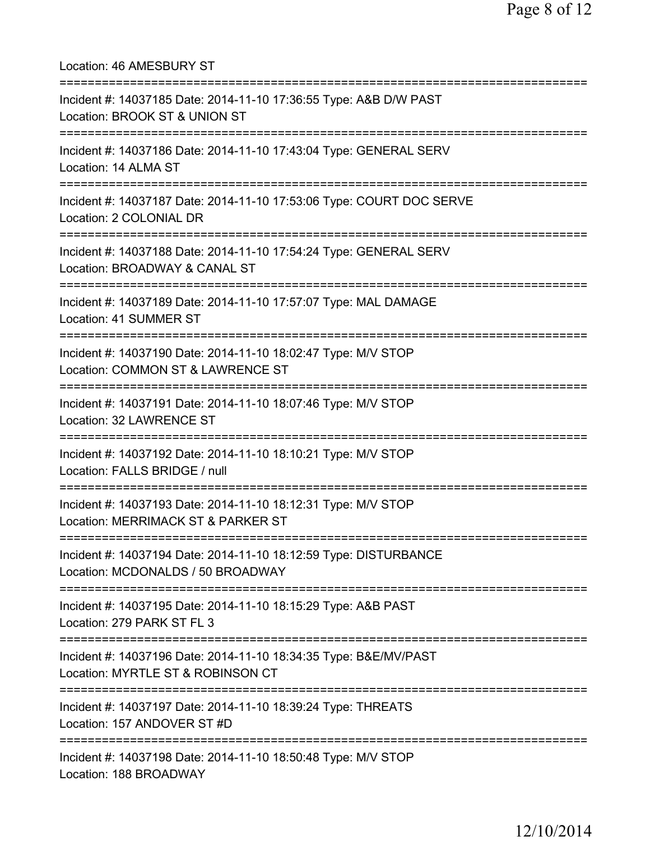Location: 46 AMESBURY ST =========================================================================== Incident #: 14037185 Date: 2014-11-10 17:36:55 Type: A&B D/W PAST Location: BROOK ST & UNION ST =========================================================================== Incident #: 14037186 Date: 2014-11-10 17:43:04 Type: GENERAL SERV Location: 14 ALMA ST =========================================================================== Incident #: 14037187 Date: 2014-11-10 17:53:06 Type: COURT DOC SERVE Location: 2 COLONIAL DR =========================================================================== Incident #: 14037188 Date: 2014-11-10 17:54:24 Type: GENERAL SERV Location: BROADWAY & CANAL ST =========================================================================== Incident #: 14037189 Date: 2014-11-10 17:57:07 Type: MAL DAMAGE Location: 41 SUMMER ST =========================================================================== Incident #: 14037190 Date: 2014-11-10 18:02:47 Type: M/V STOP Location: COMMON ST & LAWRENCE ST =========================================================================== Incident #: 14037191 Date: 2014-11-10 18:07:46 Type: M/V STOP Location: 32 LAWRENCE ST =========================================================================== Incident #: 14037192 Date: 2014-11-10 18:10:21 Type: M/V STOP Location: FALLS BRIDGE / null =========================================================================== Incident #: 14037193 Date: 2014-11-10 18:12:31 Type: M/V STOP Location: MERRIMACK ST & PARKER ST =========================================================================== Incident #: 14037194 Date: 2014-11-10 18:12:59 Type: DISTURBANCE Location: MCDONALDS / 50 BROADWAY =========================================================================== Incident #: 14037195 Date: 2014-11-10 18:15:29 Type: A&B PAST Location: 279 PARK ST FL 3 =========================================================================== Incident #: 14037196 Date: 2014-11-10 18:34:35 Type: B&E/MV/PAST Location: MYRTLE ST & ROBINSON CT =========================================================================== Incident #: 14037197 Date: 2014-11-10 18:39:24 Type: THREATS Location: 157 ANDOVER ST #D =========================================================================== Incident #: 14037198 Date: 2014-11-10 18:50:48 Type: M/V STOP Location: 188 BROADWAY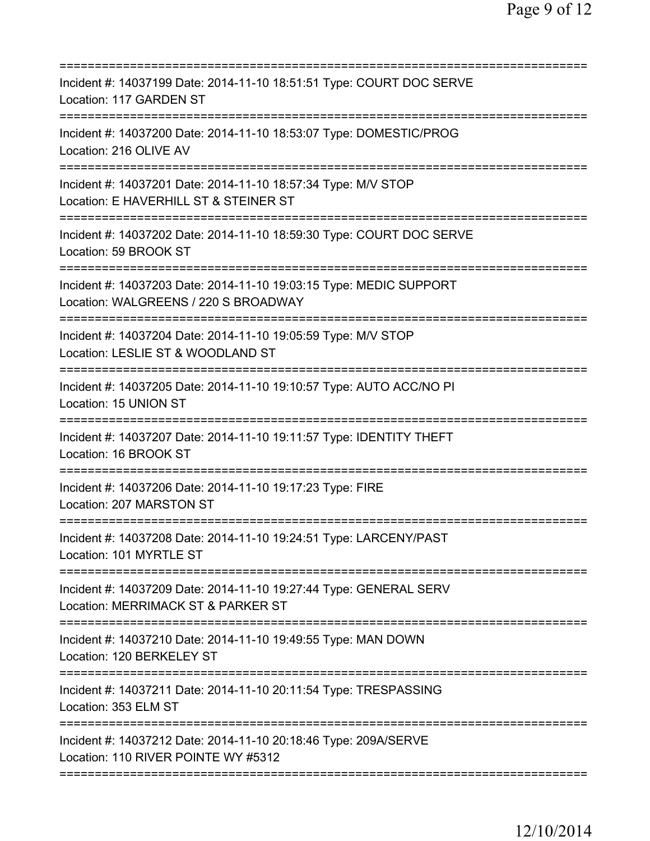| Incident #: 14037199 Date: 2014-11-10 18:51:51 Type: COURT DOC SERVE<br>Location: 117 GARDEN ST                                                       |
|-------------------------------------------------------------------------------------------------------------------------------------------------------|
| Incident #: 14037200 Date: 2014-11-10 18:53:07 Type: DOMESTIC/PROG<br>Location: 216 OLIVE AV                                                          |
| Incident #: 14037201 Date: 2014-11-10 18:57:34 Type: M/V STOP<br>Location: E HAVERHILL ST & STEINER ST                                                |
| Incident #: 14037202 Date: 2014-11-10 18:59:30 Type: COURT DOC SERVE<br>Location: 59 BROOK ST<br>===================================                  |
| Incident #: 14037203 Date: 2014-11-10 19:03:15 Type: MEDIC SUPPORT<br>Location: WALGREENS / 220 S BROADWAY                                            |
| ==================================<br>Incident #: 14037204 Date: 2014-11-10 19:05:59 Type: M/V STOP<br>Location: LESLIE ST & WOODLAND ST<br>========= |
| Incident #: 14037205 Date: 2014-11-10 19:10:57 Type: AUTO ACC/NO PI<br>Location: 15 UNION ST                                                          |
| Incident #: 14037207 Date: 2014-11-10 19:11:57 Type: IDENTITY THEFT<br>Location: 16 BROOK ST                                                          |
| Incident #: 14037206 Date: 2014-11-10 19:17:23 Type: FIRE<br>Location: 207 MARSTON ST                                                                 |
| Incident #: 14037208 Date: 2014-11-10 19:24:51 Type: LARCENY/PAST<br>Location: 101 MYRTLE ST                                                          |
| Incident #: 14037209 Date: 2014-11-10 19:27:44 Type: GENERAL SERV<br>Location: MERRIMACK ST & PARKER ST                                               |
| Incident #: 14037210 Date: 2014-11-10 19:49:55 Type: MAN DOWN<br>Location: 120 BERKELEY ST                                                            |
| Incident #: 14037211 Date: 2014-11-10 20:11:54 Type: TRESPASSING<br>Location: 353 ELM ST                                                              |
| Incident #: 14037212 Date: 2014-11-10 20:18:46 Type: 209A/SERVE<br>Location: 110 RIVER POINTE WY #5312                                                |
|                                                                                                                                                       |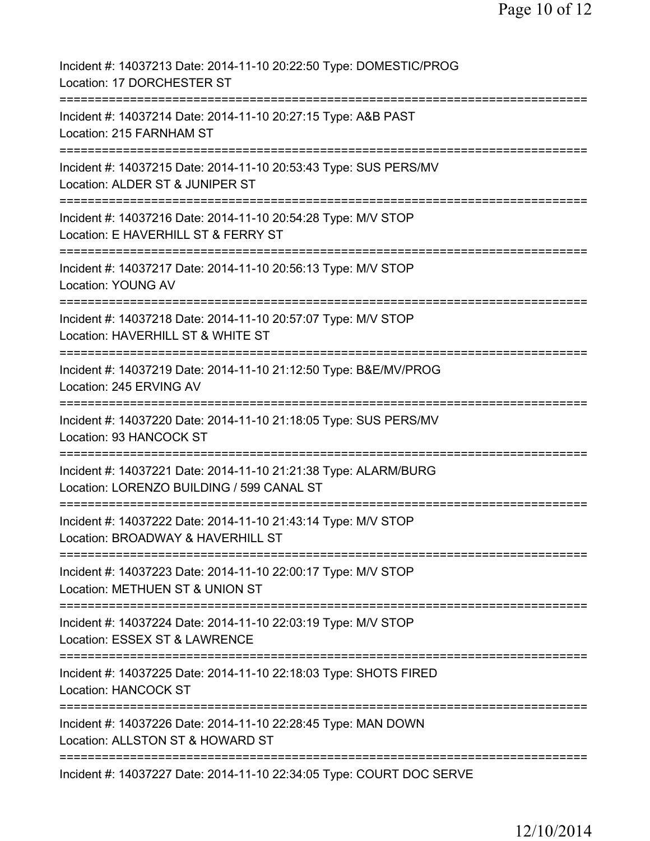| Incident #: 14037213 Date: 2014-11-10 20:22:50 Type: DOMESTIC/PROG<br>Location: 17 DORCHESTER ST                               |
|--------------------------------------------------------------------------------------------------------------------------------|
| Incident #: 14037214 Date: 2014-11-10 20:27:15 Type: A&B PAST<br>Location: 215 FARNHAM ST                                      |
| Incident #: 14037215 Date: 2014-11-10 20:53:43 Type: SUS PERS/MV<br>Location: ALDER ST & JUNIPER ST                            |
| Incident #: 14037216 Date: 2014-11-10 20:54:28 Type: M/V STOP<br>Location: E HAVERHILL ST & FERRY ST                           |
| Incident #: 14037217 Date: 2014-11-10 20:56:13 Type: M/V STOP<br><b>Location: YOUNG AV</b>                                     |
| Incident #: 14037218 Date: 2014-11-10 20:57:07 Type: M/V STOP<br>Location: HAVERHILL ST & WHITE ST                             |
| Incident #: 14037219 Date: 2014-11-10 21:12:50 Type: B&E/MV/PROG<br>Location: 245 ERVING AV                                    |
| Incident #: 14037220 Date: 2014-11-10 21:18:05 Type: SUS PERS/MV<br>Location: 93 HANCOCK ST                                    |
| Incident #: 14037221 Date: 2014-11-10 21:21:38 Type: ALARM/BURG<br>Location: LORENZO BUILDING / 599 CANAL ST                   |
| :=======================<br>Incident #: 14037222 Date: 2014-11-10 21:43:14 Type: M/V STOP<br>Location: BROADWAY & HAVERHILL ST |
| Incident #: 14037223 Date: 2014-11-10 22:00:17 Type: M/V STOP<br>Location: METHUEN ST & UNION ST                               |
| Incident #: 14037224 Date: 2014-11-10 22:03:19 Type: M/V STOP<br>Location: ESSEX ST & LAWRENCE                                 |
| Incident #: 14037225 Date: 2014-11-10 22:18:03 Type: SHOTS FIRED<br><b>Location: HANCOCK ST</b>                                |
| Incident #: 14037226 Date: 2014-11-10 22:28:45 Type: MAN DOWN<br>Location: ALLSTON ST & HOWARD ST                              |
| Incident #: 14037227 Date: 2014-11-10 22:34:05 Type: COURT DOC SERVE                                                           |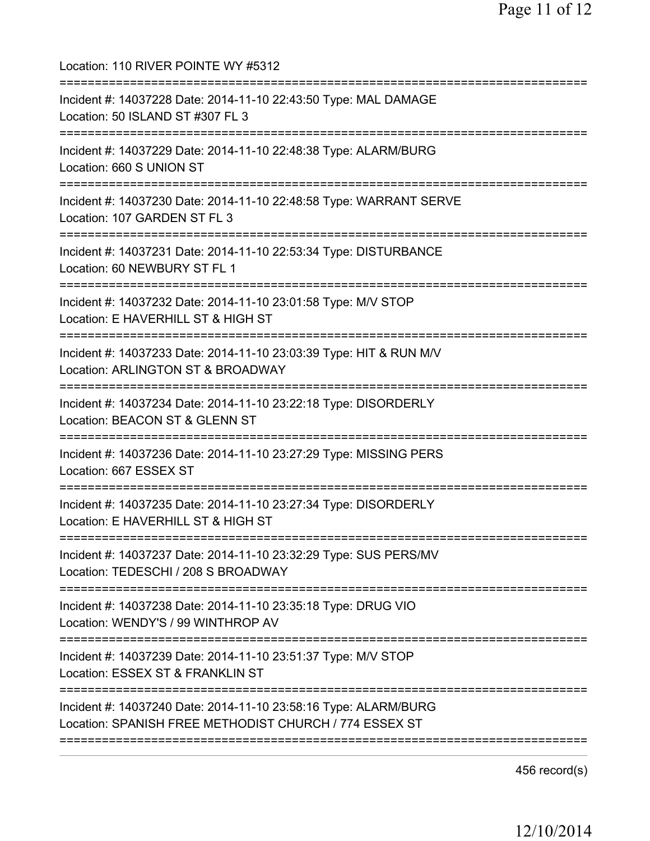Location: 110 RIVER POINTE WY #5312 =========================================================================== Incident #: 14037228 Date: 2014-11-10 22:43:50 Type: MAL DAMAGE Location: 50 ISLAND ST #307 FL 3 =========================================================================== Incident #: 14037229 Date: 2014-11-10 22:48:38 Type: ALARM/BURG Location: 660 S UNION ST =========================================================================== Incident #: 14037230 Date: 2014-11-10 22:48:58 Type: WARRANT SERVE Location: 107 GARDEN ST FL 3 =========================================================================== Incident #: 14037231 Date: 2014-11-10 22:53:34 Type: DISTURBANCE Location: 60 NEWBURY ST FL 1 =========================================================================== Incident #: 14037232 Date: 2014-11-10 23:01:58 Type: M/V STOP Location: E HAVERHILL ST & HIGH ST =========================================================================== Incident #: 14037233 Date: 2014-11-10 23:03:39 Type: HIT & RUN M/V Location: ARLINGTON ST & BROADWAY =========================================================================== Incident #: 14037234 Date: 2014-11-10 23:22:18 Type: DISORDERLY Location: BEACON ST & GLENN ST =========================================================================== Incident #: 14037236 Date: 2014-11-10 23:27:29 Type: MISSING PERS Location: 667 ESSEX ST =========================================================================== Incident #: 14037235 Date: 2014-11-10 23:27:34 Type: DISORDERLY Location: E HAVERHILL ST & HIGH ST =========================================================================== Incident #: 14037237 Date: 2014-11-10 23:32:29 Type: SUS PERS/MV Location: TEDESCHI / 208 S BROADWAY =========================================================================== Incident #: 14037238 Date: 2014-11-10 23:35:18 Type: DRUG VIO Location: WENDY'S / 99 WINTHROP AV =========================================================================== Incident #: 14037239 Date: 2014-11-10 23:51:37 Type: M/V STOP Location: ESSEX ST & FRANKLIN ST =========================================================================== Incident #: 14037240 Date: 2014-11-10 23:58:16 Type: ALARM/BURG Location: SPANISH FREE METHODIST CHURCH / 774 ESSEX ST ===========================================================================

456 record(s)